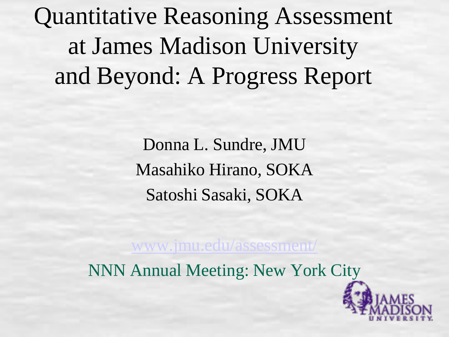Quantitative Reasoning Assessment at James Madison University and Beyond: A Progress Report

> Donna L. Sundre, JMU Masahiko Hirano, SOKA Satoshi Sasaki, SOKA

[www.jmu.edu/assessment/](http://www.jmu.edu/assessment/)

NNN Annual Meeting: New York City

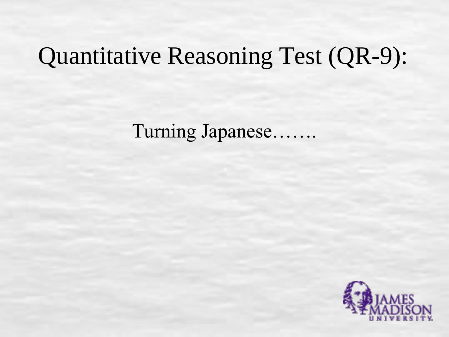# Quantitative Reasoning Test (QR-9):

Turning Japanese…….

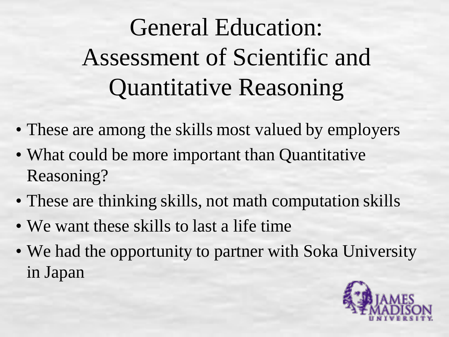# General Education: Assessment of Scientific and Quantitative Reasoning

- These are among the skills most valued by employers
- What could be more important than Quantitative Reasoning?
- These are thinking skills, not math computation skills
- We want these skills to last a life time
- We had the opportunity to partner with Soka University in Japan

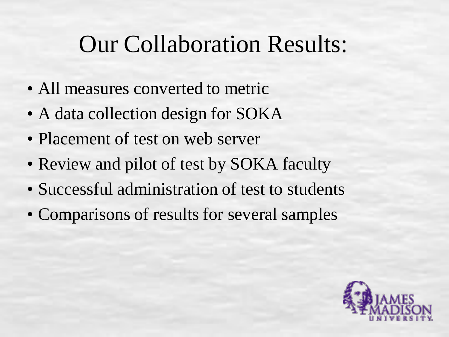## Our Collaboration Results:

- All measures converted to metric
- A data collection design for SOKA
- Placement of test on web server
- Review and pilot of test by SOKA faculty
- Successful administration of test to students
- Comparisons of results for several samples

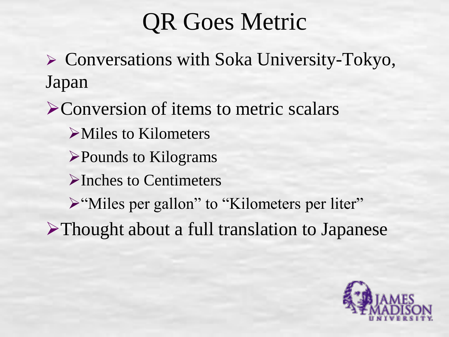## QR Goes Metric

 Conversations with Soka University-Tokyo, Japan

**Example 2 Sequest** Conversion of items to metric scalars Miles to Kilometers Pounds to Kilograms Inches to Centimeters > "Miles per gallon" to "Kilometers per liter" Thought about a full translation to Japanese

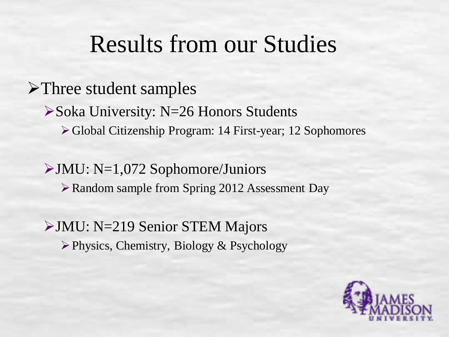### Results from our Studies

### >Three student samples

Soka University: N=26 Honors Students

Global Citizenship Program: 14 First-year; 12 Sophomores

#### $\rightarrow$  JMU: N=1,072 Sophomore/Juniors Random sample from Spring 2012 Assessment Day

#### JMU: N=219 Senior STEM Majors  $\triangleright$  Physics, Chemistry, Biology & Psychology

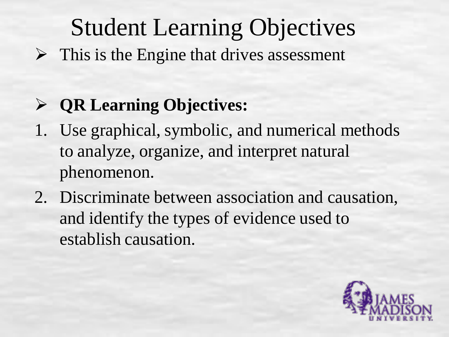# Student Learning Objectives

 $\triangleright$  This is the Engine that drives assessment

### **QR Learning Objectives:**

- 1. Use graphical, symbolic, and numerical methods to analyze, organize, and interpret natural phenomenon.
- 2. Discriminate between association and causation, and identify the types of evidence used to establish causation.

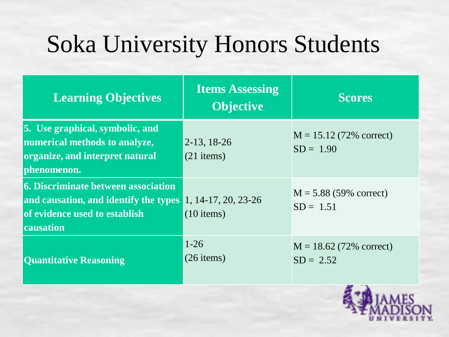# Soka University Honors Students

| <b>Learning Objectives</b>                                                                                                        | <b>Items Assessing</b><br><b>Objective</b> | <b>Scores</b>                             |
|-----------------------------------------------------------------------------------------------------------------------------------|--------------------------------------------|-------------------------------------------|
| <b>5.</b> Use graphical, symbolic, and<br>numerical methods to analyze,<br>organize, and interpret natural<br>phenomenon.         | $2-13, 18-26$<br>$(21$ items)              | $M = 15.12 (72\%$ correct)<br>$SD = 1.90$ |
| <b>6. Discriminate between association</b><br>and causation, and identify the types<br>of evidence used to establish<br>causation | 1, 14-17, 20, 23-26<br>$(10$ items)        | $M = 5.88$ (59% correct)<br>$SD = 1.51$   |
| <b>Quantitative Reasoning</b>                                                                                                     | $1 - 26$<br>$(26$ items)                   | $M = 18.62$ (72% correct)<br>$SD = 2.52$  |

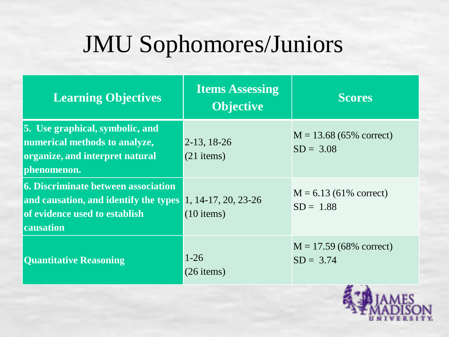# JMU Sophomores/Juniors

| <b>Learning Objectives</b>                                                                                                        | <b>Items Assessing</b><br><b>Objective</b> | <b>Scores</b>                             |
|-----------------------------------------------------------------------------------------------------------------------------------|--------------------------------------------|-------------------------------------------|
| <b>5.</b> Use graphical, symbolic, and<br>numerical methods to analyze,<br>organize, and interpret natural<br>phenomenon.         | $2-13, 18-26$<br>$(21$ items)              | $M = 13.68 (65\%$ correct)<br>$SD = 3.08$ |
| <b>6. Discriminate between association</b><br>and causation, and identify the types<br>of evidence used to establish<br>causation | 1, 14-17, 20, 23-26<br>$(10$ items)        | $M = 6.13$ (61% correct)<br>$SD = 1.88$   |
| <b>Quantitative Reasoning</b>                                                                                                     | $1 - 26$<br>$(26$ items)                   | $M = 17.59(68\%$ correct)<br>$SD = 3.74$  |

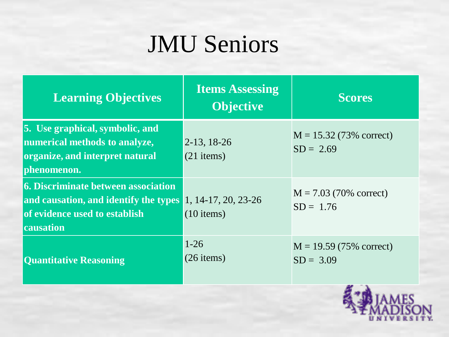# JMU Seniors

| <b>Learning Objectives</b>                                                                                                                                   | <b>Items Assessing</b><br><b>Objective</b> | <b>Scores</b>                             |
|--------------------------------------------------------------------------------------------------------------------------------------------------------------|--------------------------------------------|-------------------------------------------|
| 5. Use graphical, symbolic, and<br>numerical methods to analyze,<br>organize, and interpret natural<br>phenomenon.                                           | $ 2-13, 18-26$<br>$(21$ items)             | $M = 15.32 (73\%$ correct)<br>$SD = 2.69$ |
| <b>6. Discriminate between association</b><br>and causation, and identify the types 1, 14-17, 20, 23-26<br>of evidence used to establish<br><b>causation</b> | $(10$ items)                               | $M = 7.03$ (70% correct)<br>$SD = 1.76$   |
| <b>Quantitative Reasoning</b>                                                                                                                                | $1-26$<br>$(26$ items)                     | $M = 19.59 (75\%$ correct)<br>$SD = 3.09$ |

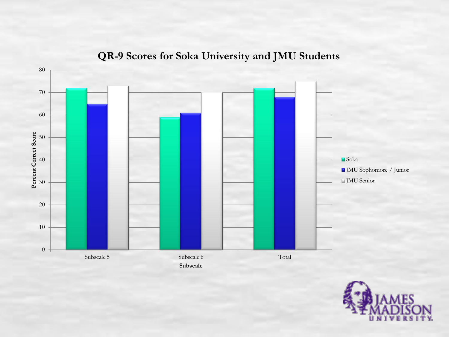

#### **QR-9 Scores for Soka University and JMU Students**

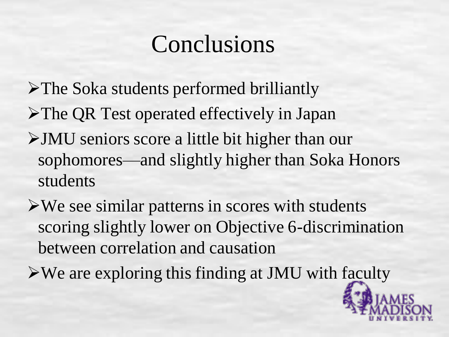## Conclusions

- The Soka students performed brilliantly
- **≻The QR Test operated effectively in Japan**
- JMU seniors score a little bit higher than our sophomores—and slightly higher than Soka Honors students
- $\triangleright$  We see similar patterns in scores with students scoring slightly lower on Objective 6-discrimination between correlation and causation
- $\triangleright$  We are exploring this finding at JMU with faculty